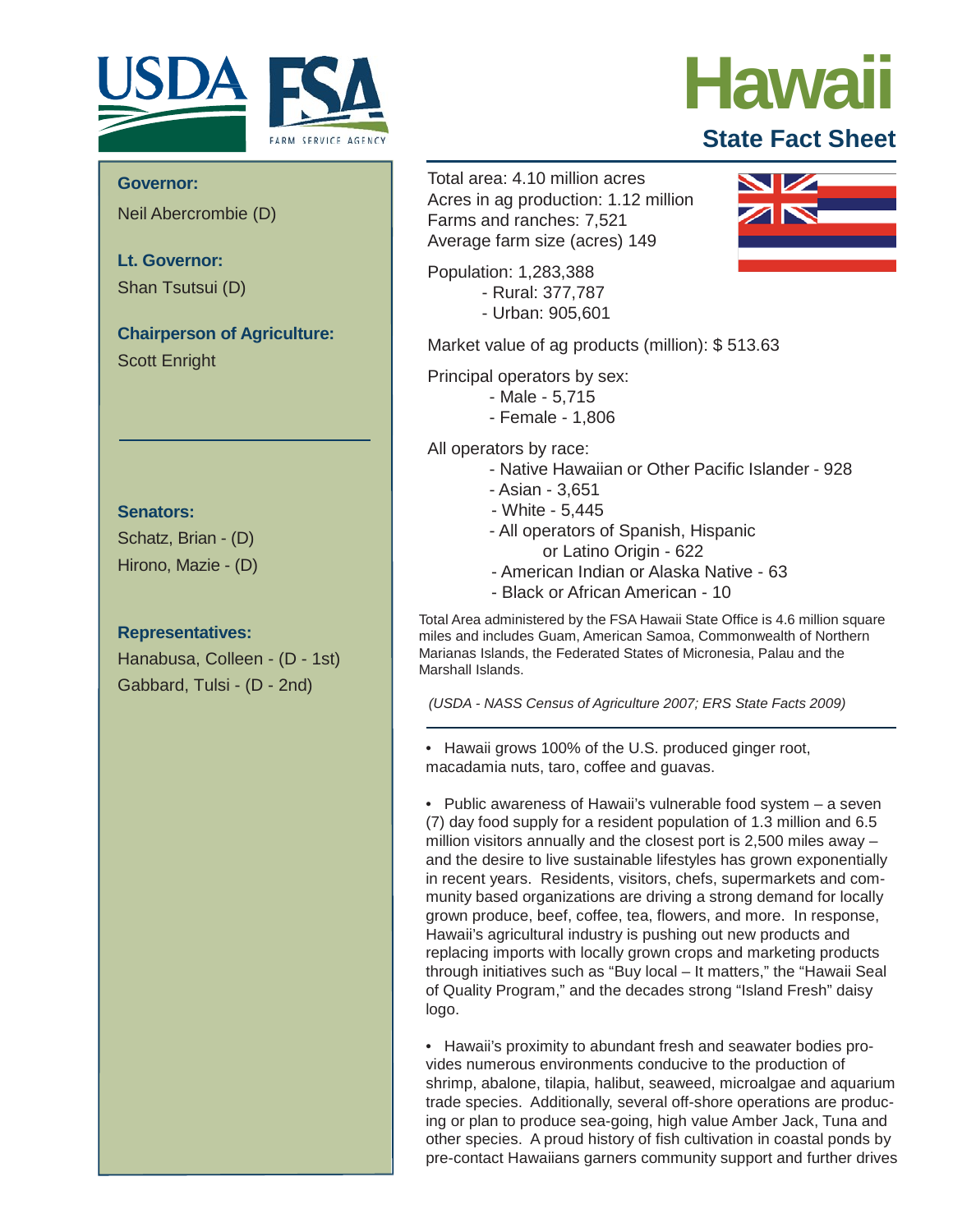

# **Hawaii**

### **State Fact Sheet**

Neil Abercrombie (D)

**Lt. Governor:** Shan Tsutsui (D)

**Chairperson of Agriculture:** Scott Enright

#### **Senators:**

Schatz, Brian - (D) Hirono, Mazie - (D)

#### **Representatives:**

Hanabusa, Colleen - (D - 1st) Gabbard, Tulsi - (D - 2nd)

**Governor:** Governor: Total area: 4.10 million acres Acres in ag production: 1.12 million Farms and ranches: 7,521 Average farm size (acres) 149

> Population: 1,283,388 - Rural: 377,787 - Urban: 905,601

Market value of ag products (million): \$ 513.63

Principal operators by sex:

- Male 5,715
	- Female 1,806

All operators by race:

- Native Hawaiian or Other Pacific Islander 928
- Asian 3,651
- White 5,445
- All operators of Spanish, Hispanic or Latino Origin - 622
- American Indian or Alaska Native 63
- Black or African American 10

Total Area administered by the FSA Hawaii State Office is 4.6 million square miles and includes Guam, American Samoa, Commonwealth of Northern Marianas Islands, the Federated States of Micronesia, Palau and the Marshall Islands.

*(USDA - NASS Census of Agriculture 2007; ERS State Facts 2009)*

• Hawaii grows 100% of the U.S. produced ginger root, macadamia nuts, taro, coffee and guavas.

• Public awareness of Hawaii's vulnerable food system – a seven (7) day food supply for a resident population of 1.3 million and 6.5 million visitors annually and the closest port is 2,500 miles away – and the desire to live sustainable lifestyles has grown exponentially in recent years. Residents, visitors, chefs, supermarkets and community based organizations are driving a strong demand for locally grown produce, beef, coffee, tea, flowers, and more. In response, Hawaii's agricultural industry is pushing out new products and replacing imports with locally grown crops and marketing products through initiatives such as "Buy local – It matters," the "Hawaii Seal of Quality Program," and the decades strong "Island Fresh" daisy logo.

• Hawaii's proximity to abundant fresh and seawater bodies provides numerous environments conducive to the production of shrimp, abalone, tilapia, halibut, seaweed, microalgae and aquarium trade species. Additionally, several off-shore operations are producing or plan to produce sea-going, high value Amber Jack, Tuna and other species. A proud history of fish cultivation in coastal ponds by pre-contact Hawaiians garners community support and further drives